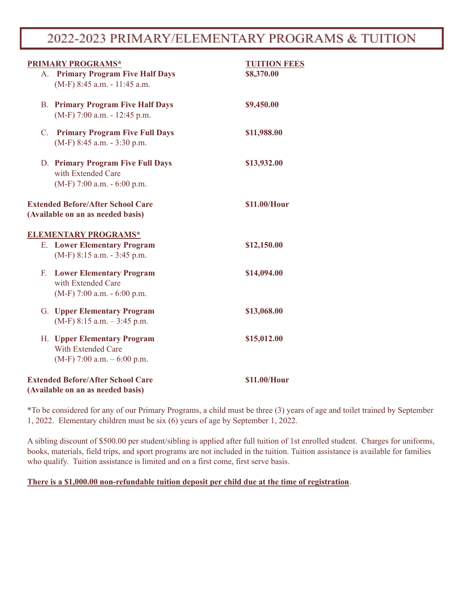## 2022-2023 PRIMARY/ELEMENTARY PROGRAMS & TUITION

| <b>PRIMARY PROGRAMS*</b>                                                                   | <b>TUITION FEES</b> |  |
|--------------------------------------------------------------------------------------------|---------------------|--|
| A. Primary Program Five Half Days<br>(M-F) 8:45 a.m. - 11:45 a.m.                          | \$8,370.00          |  |
| <b>B. Primary Program Five Half Days</b><br>$(M-F)$ 7:00 a.m. - 12:45 p.m.                 | \$9,450.00          |  |
| C. Primary Program Five Full Days<br>$(M-F)$ 8:45 a.m. - 3:30 p.m.                         | \$11,988.00         |  |
| D. Primary Program Five Full Days<br>with Extended Care<br>$(M-F)$ 7:00 a.m. - 6:00 p.m.   | \$13,932.00         |  |
| <b>Extended Before/After School Care</b><br>(Available on an as needed basis)              | \$11.00/Hour        |  |
| <b>ELEMENTARY PROGRAMS*</b>                                                                |                     |  |
| <b>E.</b> Lower Elementary Program<br>$(M-F)$ 8:15 a.m. - 3:45 p.m.                        | \$12,150.00         |  |
| <b>F.</b> Lower Elementary Program<br>with Extended Care<br>$(M-F)$ 7:00 a.m. - 6:00 p.m.  | \$14,094.00         |  |
| <b>G.</b> Upper Elementary Program<br>$(M-F)$ 8:15 a.m. $-3:45$ p.m.                       | \$13,068.00         |  |
| H. Upper Elementary Program<br><b>With Extended Care</b><br>$(M-F)$ 7:00 a.m. $-6:00$ p.m. | \$15,012.00         |  |
| <b>Extended Before/After School Care</b><br>(Available on an as needed basis)              | \$11.00/Hour        |  |

\*To be considered for any of our Primary Programs, a child must be three (3) years of age and toilet trained by September 1, 2022. Elementary children must be six (6) years of age by September 1, 2022.

A sibling discount of \$500.00 per student/sibling is applied after full tuition of 1st enrolled student. Charges for uniforms, books, materials, field trips, and sport programs are not included in the tuition. Tuition assistance is available for families who qualify. Tuition assistance is limited and on a first come, first serve basis.

## **There is a \$1,000.00 non-refundable tuition deposit per child due at the time of registration**.